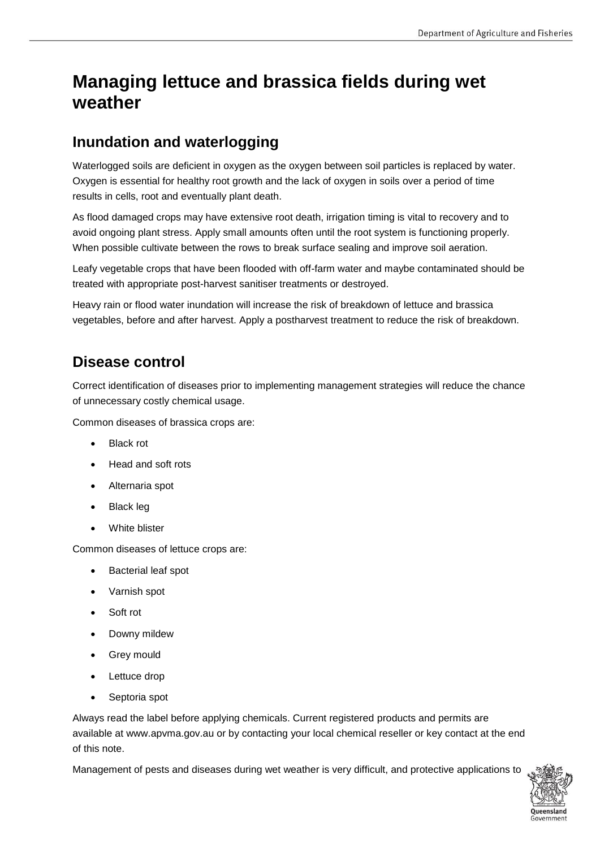# **Managing lettuce and brassica fields during wet weather**

### **Inundation and waterlogging**

Waterlogged soils are deficient in oxygen as the oxygen between soil particles is replaced by water. Oxygen is essential for healthy root growth and the lack of oxygen in soils over a period of time results in cells, root and eventually plant death.

As flood damaged crops may have extensive root death, irrigation timing is vital to recovery and to avoid ongoing plant stress. Apply small amounts often until the root system is functioning properly. When possible cultivate between the rows to break surface sealing and improve soil aeration.

Leafy vegetable crops that have been flooded with off-farm water and maybe contaminated should be treated with appropriate post-harvest sanitiser treatments or destroyed.

Heavy rain or flood water inundation will increase the risk of breakdown of lettuce and brassica vegetables, before and after harvest. Apply a postharvest treatment to reduce the risk of breakdown.

## **Disease control**

Correct identification of diseases prior to implementing management strategies will reduce the chance of unnecessary costly chemical usage.

Common diseases of brassica crops are:

- Black rot
- Head and soft rots
- Alternaria spot
- Black leg
- White blister

Common diseases of lettuce crops are:

- Bacterial leaf spot
- Varnish spot
- Soft rot
- Downy mildew
- Grey mould
- Lettuce drop
- Septoria spot

Always read the label before applying chemicals. Current registered products and permits are available at www.apvma.gov.au or by contacting your local chemical reseller or key contact at the end of this note.

Management of pests and diseases during wet weather is very difficult, and protective applications to

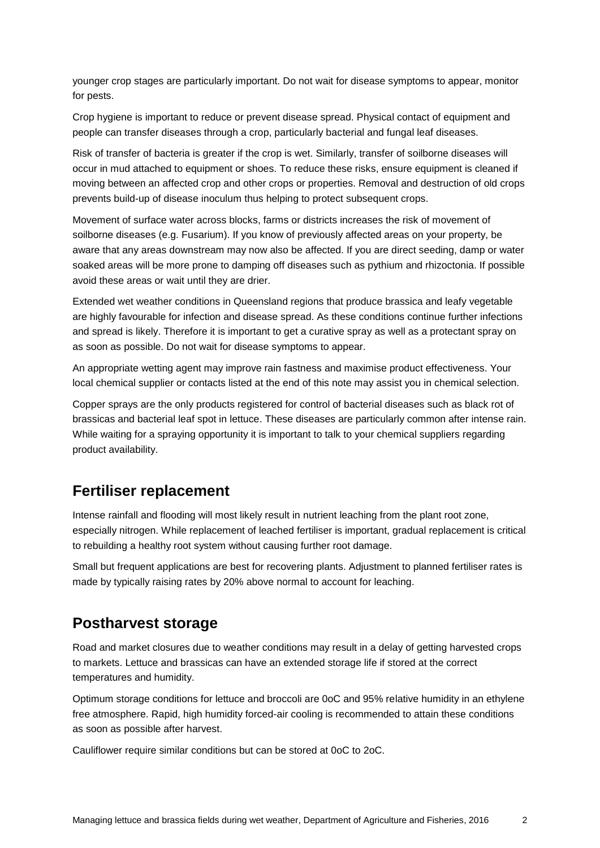younger crop stages are particularly important. Do not wait for disease symptoms to appear, monitor for pests.

Crop hygiene is important to reduce or prevent disease spread. Physical contact of equipment and people can transfer diseases through a crop, particularly bacterial and fungal leaf diseases.

Risk of transfer of bacteria is greater if the crop is wet. Similarly, transfer of soilborne diseases will occur in mud attached to equipment or shoes. To reduce these risks, ensure equipment is cleaned if moving between an affected crop and other crops or properties. Removal and destruction of old crops prevents build-up of disease inoculum thus helping to protect subsequent crops.

Movement of surface water across blocks, farms or districts increases the risk of movement of soilborne diseases (e.g. Fusarium). If you know of previously affected areas on your property, be aware that any areas downstream may now also be affected. If you are direct seeding, damp or water soaked areas will be more prone to damping off diseases such as pythium and rhizoctonia. If possible avoid these areas or wait until they are drier.

Extended wet weather conditions in Queensland regions that produce brassica and leafy vegetable are highly favourable for infection and disease spread. As these conditions continue further infections and spread is likely. Therefore it is important to get a curative spray as well as a protectant spray on as soon as possible. Do not wait for disease symptoms to appear.

An appropriate wetting agent may improve rain fastness and maximise product effectiveness. Your local chemical supplier or contacts listed at the end of this note may assist you in chemical selection.

Copper sprays are the only products registered for control of bacterial diseases such as black rot of brassicas and bacterial leaf spot in lettuce. These diseases are particularly common after intense rain. While waiting for a spraying opportunity it is important to talk to your chemical suppliers regarding product availability.

#### **Fertiliser replacement**

Intense rainfall and flooding will most likely result in nutrient leaching from the plant root zone, especially nitrogen. While replacement of leached fertiliser is important, gradual replacement is critical to rebuilding a healthy root system without causing further root damage.

Small but frequent applications are best for recovering plants. Adjustment to planned fertiliser rates is made by typically raising rates by 20% above normal to account for leaching.

#### **Postharvest storage**

Road and market closures due to weather conditions may result in a delay of getting harvested crops to markets. Lettuce and brassicas can have an extended storage life if stored at the correct temperatures and humidity.

Optimum storage conditions for lettuce and broccoli are 0oC and 95% relative humidity in an ethylene free atmosphere. Rapid, high humidity forced-air cooling is recommended to attain these conditions as soon as possible after harvest.

Cauliflower require similar conditions but can be stored at 0oC to 2oC.